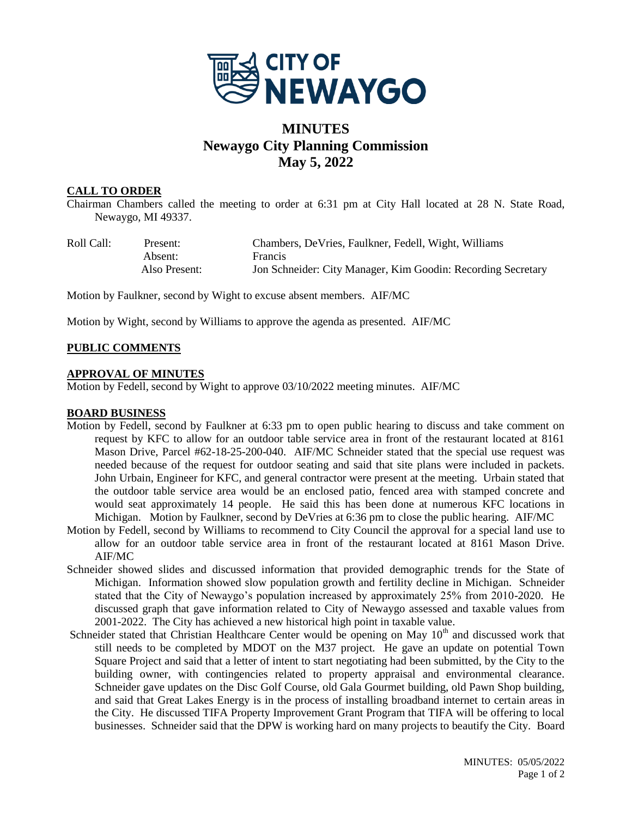

# **MINUTES Newaygo City Planning Commission May 5, 2022**

#### **CALL TO ORDER**

Chairman Chambers called the meeting to order at 6:31 pm at City Hall located at 28 N. State Road, Newaygo, MI 49337.

| Roll Call: | Present:      | Chambers, DeVries, Faulkner, Fedell, Wight, Williams         |
|------------|---------------|--------------------------------------------------------------|
|            | Absent:       | <b>Francis</b>                                               |
|            | Also Present: | Jon Schneider: City Manager, Kim Goodin: Recording Secretary |

Motion by Faulkner, second by Wight to excuse absent members. AIF/MC

Motion by Wight, second by Williams to approve the agenda as presented. AIF/MC

## **PUBLIC COMMENTS**

#### **APPROVAL OF MINUTES**

Motion by Fedell, second by Wight to approve 03/10/2022 meeting minutes. AIF/MC

#### **BOARD BUSINESS**

- Motion by Fedell, second by Faulkner at 6:33 pm to open public hearing to discuss and take comment on request by KFC to allow for an outdoor table service area in front of the restaurant located at 8161 Mason Drive, Parcel #62-18-25-200-040. AIF/MC Schneider stated that the special use request was needed because of the request for outdoor seating and said that site plans were included in packets. John Urbain, Engineer for KFC, and general contractor were present at the meeting. Urbain stated that the outdoor table service area would be an enclosed patio, fenced area with stamped concrete and would seat approximately 14 people. He said this has been done at numerous KFC locations in Michigan. Motion by Faulkner, second by DeVries at 6:36 pm to close the public hearing. AIF/MC
- Motion by Fedell, second by Williams to recommend to City Council the approval for a special land use to allow for an outdoor table service area in front of the restaurant located at 8161 Mason Drive. AIF/MC
- Schneider showed slides and discussed information that provided demographic trends for the State of Michigan. Information showed slow population growth and fertility decline in Michigan. Schneider stated that the City of Newaygo's population increased by approximately 25% from 2010-2020. He discussed graph that gave information related to City of Newaygo assessed and taxable values from 2001-2022. The City has achieved a new historical high point in taxable value.
- Schneider stated that Christian Healthcare Center would be opening on May  $10<sup>th</sup>$  and discussed work that still needs to be completed by MDOT on the M37 project. He gave an update on potential Town Square Project and said that a letter of intent to start negotiating had been submitted, by the City to the building owner, with contingencies related to property appraisal and environmental clearance. Schneider gave updates on the Disc Golf Course, old Gala Gourmet building, old Pawn Shop building, and said that Great Lakes Energy is in the process of installing broadband internet to certain areas in the City. He discussed TIFA Property Improvement Grant Program that TIFA will be offering to local businesses. Schneider said that the DPW is working hard on many projects to beautify the City. Board